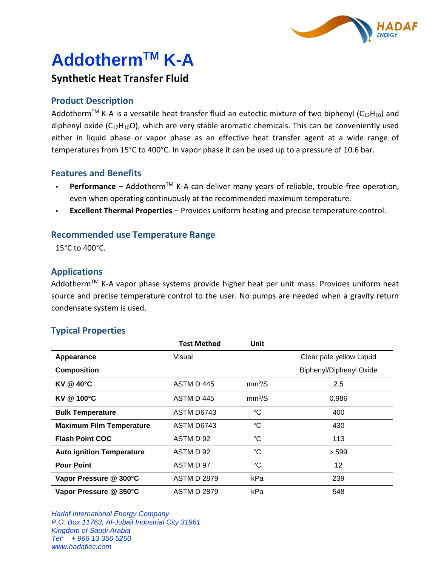

# **AddothermTM K-A**

# **Synthetic Heat Transfer Fluid**

# **Product Description**

Addotherm<sup>TM</sup> K-A is a versatile heat transfer fluid an eutectic mixture of two biphenyl (C<sub>12</sub>H<sub>10</sub>) and diphenyl oxide  $(C_{12}H_{10}O)$ , which are very stable aromatic chemicals. This can be conveniently used either in liquid phase or vapor phase as an effective heat transfer agent at a wide range of temperatures from 15°C to 400°C. In vapor phase it can be used up to a pressure of 10.6 bar.

# **Features and Benefits**

- $\cdot$  **Performance** Addotherm<sup>TM</sup> K-A can deliver many years of reliable, trouble-free operation, even when operating continuously at the recommended maximum temperature.
- **Excellent Thermal Properties** Provides uniform heating and precise temperature control.

#### **Recommended use Temperature Range**

15°C to 400°C.

## **Applications**

Addotherm™ K-A vapor phase systems provide higher heat per unit mass. Provides uniform heat source and precise temperature control to the user. No pumps are needed when a gravity return condensate system is used.

#### **Typical Properties**

|                                  | <b>Test Method</b> | Unit               |                          |
|----------------------------------|--------------------|--------------------|--------------------------|
| Appearance                       | Visual             |                    | Clear pale yellow Liquid |
| <b>Composition</b>               |                    |                    | Biphenyl/Diphenyl Oxide  |
| <b>KV @ 40°C</b>                 | ASTM D 445         | mm <sup>2</sup> /S | 2.5                      |
| KV @ 100°C                       | ASTM D 445         | mm <sup>2</sup> /S | 0.986                    |
| <b>Bulk Temperature</b>          | ASTM D6743         | $^{\circ}C$        | 400                      |
| <b>Maximum Film Temperature</b>  | ASTM D6743         | $^{\circ}C$        | 430                      |
| <b>Flash Point COC</b>           | ASTM D 92          | $^{\circ}C$        | 113                      |
| <b>Auto ignition Temperature</b> | ASTM D 92          | $^{\circ}C$        | > 599                    |
| <b>Pour Point</b>                | ASTM D 97          | °C                 | 12                       |
| Vapor Pressure @ 300°C           | <b>ASTM D 2879</b> | kPa                | 239                      |
| Vapor Pressure @ 350°C           | <b>ASTM D 2879</b> | kPa                | 548                      |

*Hadaf International Energy Company P.O. Box 11763, Al-Jubail Industrial City 31961 Kingdom of Saudi Arabia Tel: + 966 13 356 5250 www.hadafiec.com*